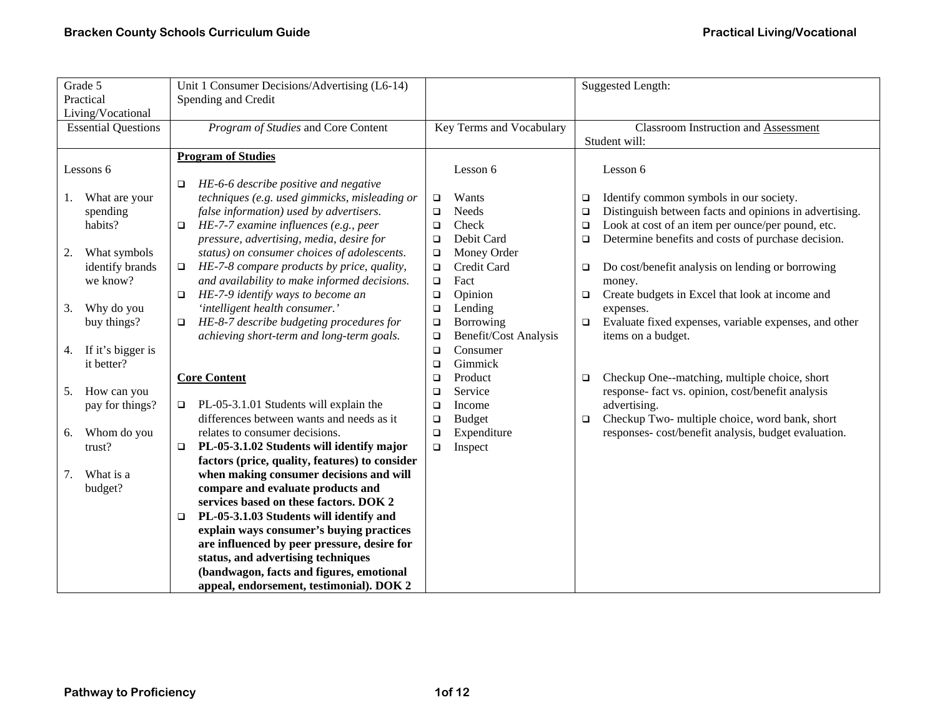| Grade 5<br>Practical<br>Living/Vocational | Unit 1 Consumer Decisions/Advertising (L6-14)<br>Spending and Credit |                                 | Suggested Length:                                                |  |
|-------------------------------------------|----------------------------------------------------------------------|---------------------------------|------------------------------------------------------------------|--|
| <b>Essential Questions</b>                | Program of Studies and Core Content                                  | Key Terms and Vocabulary        | <b>Classroom Instruction and Assessment</b>                      |  |
|                                           | <b>Program of Studies</b>                                            |                                 | Student will:                                                    |  |
| Lessons 6                                 | HE-6-6 describe positive and negative<br>$\Box$                      | Lesson 6                        | Lesson 6                                                         |  |
| What are your<br>1.                       | techniques (e.g. used gimmicks, misleading or                        | Wants<br>$\Box$                 | Identify common symbols in our society.<br>$\Box$                |  |
| spending                                  | false information) used by advertisers.                              | Needs<br>$\Box$                 | Distinguish between facts and opinions in advertising.<br>$\Box$ |  |
| habits?                                   | HE-7-7 examine influences (e.g., peer<br>$\Box$                      | Check<br>$\Box$                 | Look at cost of an item per ounce/per pound, etc.<br>$\Box$      |  |
|                                           | pressure, advertising, media, desire for                             | Debit Card<br>$\Box$            | Determine benefits and costs of purchase decision.<br>$\Box$     |  |
| What symbols<br>2.                        | status) on consumer choices of adolescents.                          | Money Order<br>$\Box$           |                                                                  |  |
| identify brands                           | HE-7-8 compare products by price, quality,<br>$\Box$                 | Credit Card<br>$\Box$           | Do cost/benefit analysis on lending or borrowing<br>$\Box$       |  |
| we know?                                  | and availability to make informed decisions.                         | Fact<br>$\Box$                  | money.                                                           |  |
|                                           | HE-7-9 identify ways to become an<br>$\Box$                          | Opinion<br>$\Box$               | Create budgets in Excel that look at income and<br>$\Box$        |  |
| Why do you<br>3.                          | 'intelligent health consumer.'                                       | Lending<br>$\Box$               | expenses.                                                        |  |
| buy things?                               | HE-8-7 describe budgeting procedures for<br>$\Box$                   | Borrowing<br>$\Box$             | Evaluate fixed expenses, variable expenses, and other<br>$\Box$  |  |
|                                           | achieving short-term and long-term goals.                            | Benefit/Cost Analysis<br>$\Box$ | items on a budget.                                               |  |
| If it's bigger is<br>4.                   |                                                                      | Consumer<br>$\Box$              |                                                                  |  |
| it better?                                |                                                                      | Gimmick<br>$\Box$               |                                                                  |  |
|                                           | <b>Core Content</b>                                                  | Product<br>$\Box$               | Checkup One--matching, multiple choice, short<br>$\Box$          |  |
| How can you<br>5.                         |                                                                      | Service<br>$\Box$               | response- fact vs. opinion, cost/benefit analysis                |  |
| pay for things?                           | PL-05-3.1.01 Students will explain the<br>$\Box$                     | Income<br>$\Box$                | advertising.                                                     |  |
|                                           | differences between wants and needs as it                            | <b>Budget</b><br>$\Box$         | Checkup Two- multiple choice, word bank, short<br>$\Box$         |  |
| Whom do you<br>6.                         | relates to consumer decisions.                                       | Expenditure<br>$\Box$           | responses-cost/benefit analysis, budget evaluation.              |  |
| trust?                                    | PL-05-3.1.02 Students will identify major<br>□                       | Inspect<br>$\Box$               |                                                                  |  |
|                                           | factors (price, quality, features) to consider                       |                                 |                                                                  |  |
| What is a<br>7.                           | when making consumer decisions and will                              |                                 |                                                                  |  |
| budget?                                   | compare and evaluate products and                                    |                                 |                                                                  |  |
|                                           | services based on these factors. DOK 2                               |                                 |                                                                  |  |
|                                           | PL-05-3.1.03 Students will identify and<br>□                         |                                 |                                                                  |  |
|                                           | explain ways consumer's buying practices                             |                                 |                                                                  |  |
|                                           | are influenced by peer pressure, desire for                          |                                 |                                                                  |  |
|                                           | status, and advertising techniques                                   |                                 |                                                                  |  |
|                                           | (bandwagon, facts and figures, emotional                             |                                 |                                                                  |  |
|                                           | appeal, endorsement, testimonial). DOK 2                             |                                 |                                                                  |  |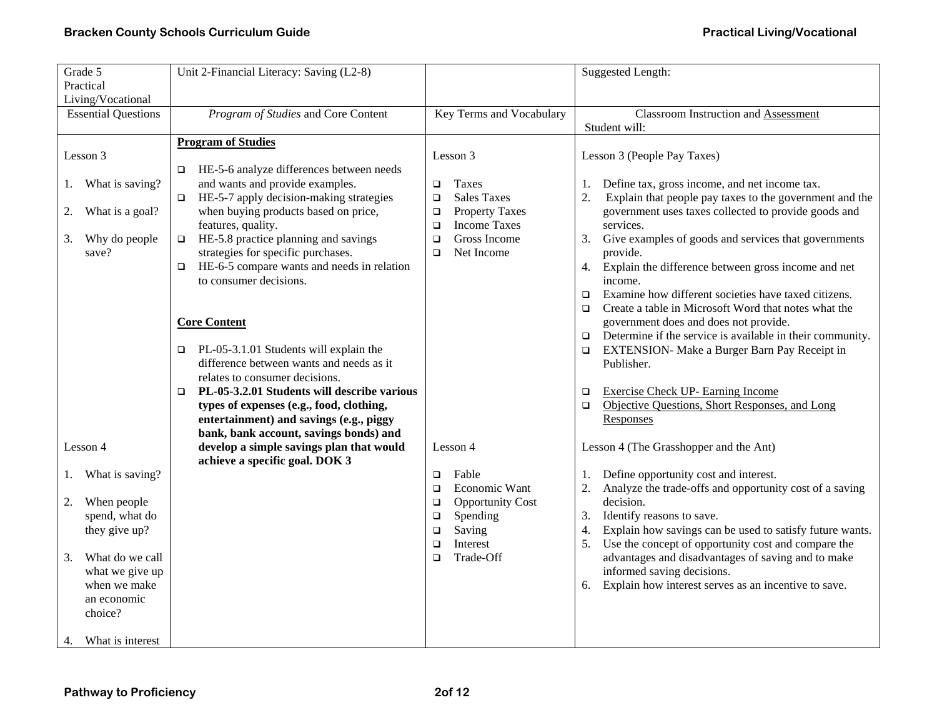| Grade 5                    | Unit 2-Financial Literacy: Saving (L2-8)                                                  |                                                       | <b>Suggested Length:</b>                                                                                              |
|----------------------------|-------------------------------------------------------------------------------------------|-------------------------------------------------------|-----------------------------------------------------------------------------------------------------------------------|
| Practical                  |                                                                                           |                                                       |                                                                                                                       |
| Living/Vocational          |                                                                                           |                                                       |                                                                                                                       |
| <b>Essential Questions</b> | Program of Studies and Core Content                                                       | Key Terms and Vocabulary                              | <b>Classroom Instruction and Assessment</b>                                                                           |
|                            |                                                                                           |                                                       | Student will:                                                                                                         |
|                            | <b>Program of Studies</b>                                                                 |                                                       |                                                                                                                       |
| Lesson 3                   |                                                                                           | Lesson 3                                              | Lesson 3 (People Pay Taxes)                                                                                           |
|                            | HE-5-6 analyze differences between needs<br>$\Box$                                        |                                                       |                                                                                                                       |
| What is saving?<br>I.      | and wants and provide examples.                                                           | Taxes<br>$\Box$                                       | Define tax, gross income, and net income tax.<br>1.                                                                   |
|                            | HE-5-7 apply decision-making strategies<br>$\Box$<br>when buying products based on price, | <b>Sales Taxes</b><br>$\Box$<br><b>Property Taxes</b> | 2.<br>Explain that people pay taxes to the government and the<br>government uses taxes collected to provide goods and |
| What is a goal?<br>2.      | features, quality.                                                                        | $\Box$<br><b>Income Taxes</b><br>$\Box$               | services.                                                                                                             |
| Why do people<br>3.        | HE-5.8 practice planning and savings<br>$\Box$                                            | Gross Income<br>$\Box$                                | 3.<br>Give examples of goods and services that governments                                                            |
| save?                      | strategies for specific purchases.                                                        | Net Income<br>$\Box$                                  | provide.                                                                                                              |
|                            | HE-6-5 compare wants and needs in relation<br>$\Box$                                      |                                                       | Explain the difference between gross income and net<br>4.                                                             |
|                            | to consumer decisions.                                                                    |                                                       | income.                                                                                                               |
|                            |                                                                                           |                                                       | Examine how different societies have taxed citizens.<br>$\Box$                                                        |
|                            |                                                                                           |                                                       | Create a table in Microsoft Word that notes what the<br>$\Box$                                                        |
|                            | <b>Core Content</b>                                                                       |                                                       | government does and does not provide.                                                                                 |
|                            |                                                                                           |                                                       | Determine if the service is available in their community.<br>$\Box$                                                   |
|                            | PL-05-3.1.01 Students will explain the<br>$\Box$                                          |                                                       | EXTENSION- Make a Burger Barn Pay Receipt in<br>$\Box$                                                                |
|                            | difference between wants and needs as it                                                  |                                                       | Publisher.                                                                                                            |
|                            | relates to consumer decisions.                                                            |                                                       |                                                                                                                       |
|                            | PL-05-3.2.01 Students will describe various<br>$\Box$                                     |                                                       | <b>Exercise Check UP- Earning Income</b><br>□                                                                         |
|                            | types of expenses (e.g., food, clothing,                                                  |                                                       | Objective Questions, Short Responses, and Long<br>$\Box$                                                              |
|                            | entertainment) and savings (e.g., piggy                                                   |                                                       | Responses                                                                                                             |
| Lesson 4                   | bank, bank account, savings bonds) and<br>develop a simple savings plan that would        | Lesson 4                                              | Lesson 4 (The Grasshopper and the Ant)                                                                                |
|                            | achieve a specific goal. DOK 3                                                            |                                                       |                                                                                                                       |
| What is saving?<br>1.      |                                                                                           | Fable<br>$\Box$                                       | Define opportunity cost and interest.<br>1.                                                                           |
|                            |                                                                                           | Economic Want<br>$\Box$                               | 2.<br>Analyze the trade-offs and opportunity cost of a saving                                                         |
| When people<br>2.          |                                                                                           | <b>Opportunity Cost</b><br>$\Box$                     | decision.                                                                                                             |
| spend, what do             |                                                                                           | Spending<br>$\Box$                                    | Identify reasons to save.<br>3.                                                                                       |
| they give up?              |                                                                                           | Saving<br>$\Box$                                      | Explain how savings can be used to satisfy future wants.<br>4.                                                        |
|                            |                                                                                           | Interest<br>$\Box$                                    | 5.<br>Use the concept of opportunity cost and compare the                                                             |
| What do we call<br>3.      |                                                                                           | Trade-Off<br>$\Box$                                   | advantages and disadvantages of saving and to make                                                                    |
| what we give up            |                                                                                           |                                                       | informed saving decisions.                                                                                            |
| when we make               |                                                                                           |                                                       | Explain how interest serves as an incentive to save.<br>6.                                                            |
| an economic                |                                                                                           |                                                       |                                                                                                                       |
| choice?                    |                                                                                           |                                                       |                                                                                                                       |
|                            |                                                                                           |                                                       |                                                                                                                       |
| What is interest<br>4.     |                                                                                           |                                                       |                                                                                                                       |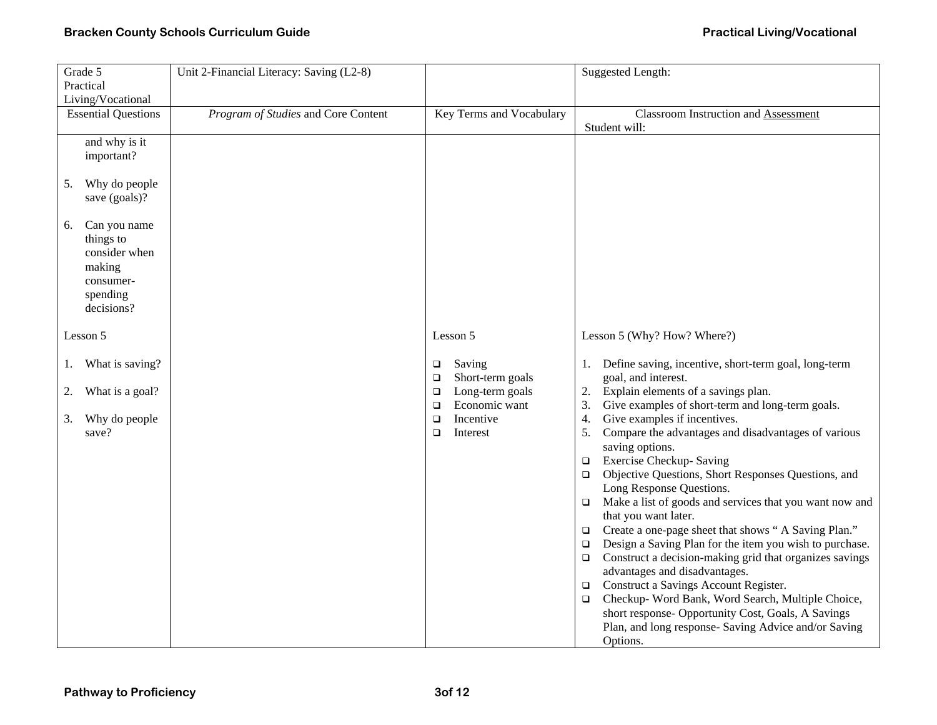| Grade 5                                                                                                                                                                  | Unit 2-Financial Literacy: Saving (L2-8) |                                                                                                                                                     | <b>Suggested Length:</b>                                                                                                                                                                                                                                                                                                                                                                                                                                                                                                                                                                                                                                                                                                                                                                                                                                                                                                                                                                                                                      |  |  |
|--------------------------------------------------------------------------------------------------------------------------------------------------------------------------|------------------------------------------|-----------------------------------------------------------------------------------------------------------------------------------------------------|-----------------------------------------------------------------------------------------------------------------------------------------------------------------------------------------------------------------------------------------------------------------------------------------------------------------------------------------------------------------------------------------------------------------------------------------------------------------------------------------------------------------------------------------------------------------------------------------------------------------------------------------------------------------------------------------------------------------------------------------------------------------------------------------------------------------------------------------------------------------------------------------------------------------------------------------------------------------------------------------------------------------------------------------------|--|--|
| Practical                                                                                                                                                                |                                          |                                                                                                                                                     |                                                                                                                                                                                                                                                                                                                                                                                                                                                                                                                                                                                                                                                                                                                                                                                                                                                                                                                                                                                                                                               |  |  |
| Living/Vocational                                                                                                                                                        |                                          |                                                                                                                                                     |                                                                                                                                                                                                                                                                                                                                                                                                                                                                                                                                                                                                                                                                                                                                                                                                                                                                                                                                                                                                                                               |  |  |
| <b>Essential Questions</b>                                                                                                                                               | Program of Studies and Core Content      | Key Terms and Vocabulary                                                                                                                            | <b>Classroom Instruction and Assessment</b><br>Student will:                                                                                                                                                                                                                                                                                                                                                                                                                                                                                                                                                                                                                                                                                                                                                                                                                                                                                                                                                                                  |  |  |
| and why is it<br>important?<br>Why do people<br>5.<br>save (goals)?<br>Can you name<br>6.<br>things to<br>consider when<br>making<br>consumer-<br>spending<br>decisions? |                                          |                                                                                                                                                     |                                                                                                                                                                                                                                                                                                                                                                                                                                                                                                                                                                                                                                                                                                                                                                                                                                                                                                                                                                                                                                               |  |  |
| Lesson 5                                                                                                                                                                 |                                          | Lesson 5                                                                                                                                            | Lesson 5 (Why? How? Where?)                                                                                                                                                                                                                                                                                                                                                                                                                                                                                                                                                                                                                                                                                                                                                                                                                                                                                                                                                                                                                   |  |  |
| What is saving?<br>1.<br>What is a goal?<br>2.<br>Why do people<br>3.<br>save?                                                                                           |                                          | Saving<br>$\Box$<br>Short-term goals<br>$\Box$<br>Long-term goals<br>$\Box$<br>Economic want<br>$\Box$<br>Incentive<br>$\Box$<br>$\Box$<br>Interest | Define saving, incentive, short-term goal, long-term<br>1.<br>goal, and interest.<br>Explain elements of a savings plan.<br>2.<br>Give examples of short-term and long-term goals.<br>3.<br>Give examples if incentives.<br>4.<br>Compare the advantages and disadvantages of various<br>5.<br>saving options.<br><b>Exercise Checkup- Saving</b><br>$\Box$<br>Objective Questions, Short Responses Questions, and<br>$\Box$<br>Long Response Questions.<br>Make a list of goods and services that you want now and<br>$\Box$<br>that you want later.<br>Create a one-page sheet that shows "A Saving Plan."<br>$\Box$<br>Design a Saving Plan for the item you wish to purchase.<br>$\Box$<br>Construct a decision-making grid that organizes savings<br>$\Box$<br>advantages and disadvantages.<br>Construct a Savings Account Register.<br>$\Box$<br>Checkup- Word Bank, Word Search, Multiple Choice,<br>$\Box$<br>short response- Opportunity Cost, Goals, A Savings<br>Plan, and long response- Saving Advice and/or Saving<br>Options. |  |  |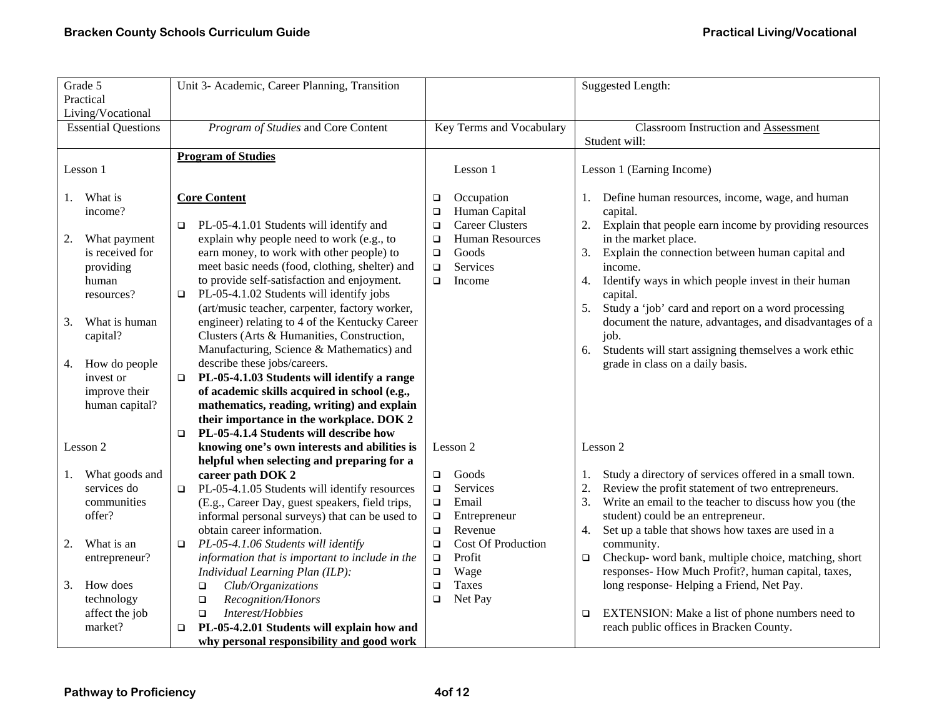| Grade 5<br>Practical<br>Living/Vocational                                                        | Unit 3- Academic, Career Planning, Transition                                                                                                                                                                                                                                                                                                                                                          |                                                                                                                                   | Suggested Length:                                                                                                                                                                                                                                                                                                                                         |  |
|--------------------------------------------------------------------------------------------------|--------------------------------------------------------------------------------------------------------------------------------------------------------------------------------------------------------------------------------------------------------------------------------------------------------------------------------------------------------------------------------------------------------|-----------------------------------------------------------------------------------------------------------------------------------|-----------------------------------------------------------------------------------------------------------------------------------------------------------------------------------------------------------------------------------------------------------------------------------------------------------------------------------------------------------|--|
| <b>Essential Questions</b>                                                                       | Program of Studies and Core Content                                                                                                                                                                                                                                                                                                                                                                    | Key Terms and Vocabulary                                                                                                          | <b>Classroom Instruction and Assessment</b><br>Student will:                                                                                                                                                                                                                                                                                              |  |
| Lesson 1                                                                                         | <b>Program of Studies</b>                                                                                                                                                                                                                                                                                                                                                                              | Lesson 1                                                                                                                          | Lesson 1 (Earning Income)                                                                                                                                                                                                                                                                                                                                 |  |
| What is<br>1.<br>income?                                                                         | <b>Core Content</b>                                                                                                                                                                                                                                                                                                                                                                                    | Occupation<br>$\Box$<br>Human Capital<br>$\Box$                                                                                   | Define human resources, income, wage, and human<br>1.<br>capital.                                                                                                                                                                                                                                                                                         |  |
| What payment<br>2.<br>is received for<br>providing<br>human<br>resources?<br>What is human<br>3. | PL-05-4.1.01 Students will identify and<br>$\Box$<br>explain why people need to work (e.g., to<br>earn money, to work with other people) to<br>meet basic needs (food, clothing, shelter) and<br>to provide self-satisfaction and enjoyment.<br>PL-05-4.1.02 Students will identify jobs<br>$\Box$<br>(art/music teacher, carpenter, factory worker,<br>engineer) relating to 4 of the Kentucky Career | <b>Career Clusters</b><br>$\Box$<br><b>Human Resources</b><br>$\Box$<br>Goods<br>$\Box$<br>Services<br>$\Box$<br>$\Box$<br>Income | 2.<br>Explain that people earn income by providing resources<br>in the market place.<br>Explain the connection between human capital and<br>3.<br>income.<br>Identify ways in which people invest in their human<br>4.<br>capital.<br>Study a 'job' card and report on a word processing<br>5.<br>document the nature, advantages, and disadvantages of a |  |
| capital?<br>How do people<br>4.<br>invest or<br>improve their<br>human capital?                  | Clusters (Arts & Humanities, Construction,<br>Manufacturing, Science & Mathematics) and<br>describe these jobs/careers.<br>PL-05-4.1.03 Students will identify a range<br>$\Box$<br>of academic skills acquired in school (e.g.,<br>mathematics, reading, writing) and explain<br>their importance in the workplace. DOK 2<br>PL-05-4.1.4 Students will describe how<br>$\Box$                         |                                                                                                                                   | job.<br>Students will start assigning themselves a work ethic<br>6.<br>grade in class on a daily basis.                                                                                                                                                                                                                                                   |  |
| Lesson 2                                                                                         | knowing one's own interests and abilities is<br>helpful when selecting and preparing for a                                                                                                                                                                                                                                                                                                             | Lesson 2                                                                                                                          | Lesson 2                                                                                                                                                                                                                                                                                                                                                  |  |
| What goods and<br>1.<br>services do<br>communities<br>offer?                                     | career path DOK 2<br>PL-05-4.1.05 Students will identify resources<br>$\Box$<br>(E.g., Career Day, guest speakers, field trips,<br>informal personal surveys) that can be used to<br>obtain career information.                                                                                                                                                                                        | Goods<br>$\Box$<br>Services<br>$\Box$<br>Email<br>$\Box$<br>$\Box$<br>Entrepreneur<br>Revenue<br>$\Box$                           | Study a directory of services offered in a small town.<br>1.<br>2.<br>Review the profit statement of two entrepreneurs.<br>3.<br>Write an email to the teacher to discuss how you (the<br>student) could be an entrepreneur.<br>Set up a table that shows how taxes are used in a<br>4.                                                                   |  |
| What is an<br>2.<br>entrepreneur?<br>How does<br>3.                                              | PL-05-4.1.06 Students will identify<br>$\Box$<br>information that is important to include in the<br>Individual Learning Plan (ILP):<br>Club/Organizations<br>$\Box$                                                                                                                                                                                                                                    | <b>Cost Of Production</b><br>$\Box$<br>Profit<br>$\Box$<br>Wage<br>$\Box$<br>Taxes<br>$\Box$                                      | community.<br>Checkup- word bank, multiple choice, matching, short<br>$\Box$<br>responses- How Much Profit?, human capital, taxes,<br>long response- Helping a Friend, Net Pay.                                                                                                                                                                           |  |
| technology<br>affect the job<br>market?                                                          | Recognition/Honors<br>$\Box$<br>Interest/Hobbies<br>$\Box$<br>PL-05-4.2.01 Students will explain how and<br>why personal responsibility and good work                                                                                                                                                                                                                                                  | Net Pay<br>$\Box$                                                                                                                 | EXTENSION: Make a list of phone numbers need to<br>$\Box$<br>reach public offices in Bracken County.                                                                                                                                                                                                                                                      |  |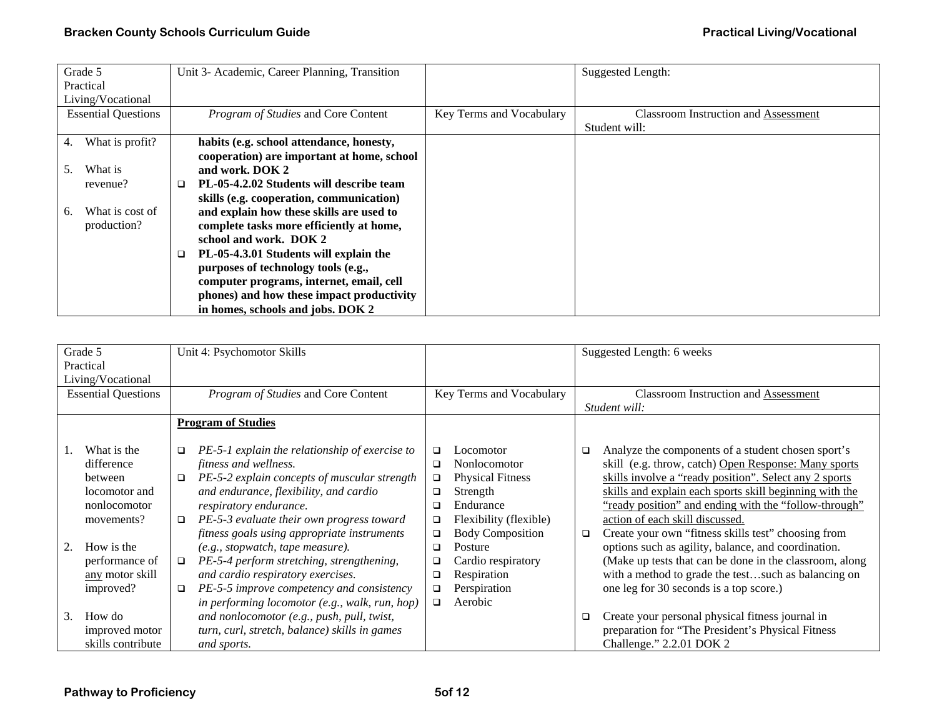|           | Grade 5                    |   | Unit 3- Academic, Career Planning, Transition |                          | <b>Suggested Length:</b>                    |
|-----------|----------------------------|---|-----------------------------------------------|--------------------------|---------------------------------------------|
| Practical |                            |   |                                               |                          |                                             |
|           | Living/Vocational          |   |                                               |                          |                                             |
|           | <b>Essential Questions</b> |   | Program of Studies and Core Content           | Key Terms and Vocabulary | <b>Classroom Instruction and Assessment</b> |
|           |                            |   |                                               |                          | Student will:                               |
| 4.        | What is profit?            |   | habits (e.g. school attendance, honesty,      |                          |                                             |
|           |                            |   | cooperation) are important at home, school    |                          |                                             |
| 5.        | What is                    |   | and work. DOK 2                               |                          |                                             |
|           | revenue?                   | □ | PL-05-4.2.02 Students will describe team      |                          |                                             |
|           |                            |   | skills (e.g. cooperation, communication)      |                          |                                             |
| 6.        | What is cost of            |   | and explain how these skills are used to      |                          |                                             |
|           | production?                |   | complete tasks more efficiently at home,      |                          |                                             |
|           |                            |   | school and work. DOK 2                        |                          |                                             |
|           |                            | ❏ | PL-05-4.3.01 Students will explain the        |                          |                                             |
|           |                            |   | purposes of technology tools (e.g.,           |                          |                                             |
|           |                            |   | computer programs, internet, email, cell      |                          |                                             |
|           |                            |   | phones) and how these impact productivity     |                          |                                             |
|           |                            |   | in homes, schools and jobs. DOK 2             |                          |                                             |

| Grade 5<br>Practical<br>Living/Vocational                                                                                                           | Unit 4: Psychomotor Skills                                                                                                                                                                                                                                                                                                                                                                                                                                                                                                                                |                                                                                                                                                                                                                                                                                                      | Suggested Length: 6 weeks                                                                                                                                                                                                                                                                                                                                                                                                                                                                                                                                                                                                  |  |
|-----------------------------------------------------------------------------------------------------------------------------------------------------|-----------------------------------------------------------------------------------------------------------------------------------------------------------------------------------------------------------------------------------------------------------------------------------------------------------------------------------------------------------------------------------------------------------------------------------------------------------------------------------------------------------------------------------------------------------|------------------------------------------------------------------------------------------------------------------------------------------------------------------------------------------------------------------------------------------------------------------------------------------------------|----------------------------------------------------------------------------------------------------------------------------------------------------------------------------------------------------------------------------------------------------------------------------------------------------------------------------------------------------------------------------------------------------------------------------------------------------------------------------------------------------------------------------------------------------------------------------------------------------------------------------|--|
| <b>Essential Questions</b>                                                                                                                          | Program of Studies and Core Content                                                                                                                                                                                                                                                                                                                                                                                                                                                                                                                       | Key Terms and Vocabulary                                                                                                                                                                                                                                                                             | <b>Classroom Instruction and Assessment</b><br>Student will:                                                                                                                                                                                                                                                                                                                                                                                                                                                                                                                                                               |  |
|                                                                                                                                                     | <b>Program of Studies</b>                                                                                                                                                                                                                                                                                                                                                                                                                                                                                                                                 |                                                                                                                                                                                                                                                                                                      |                                                                                                                                                                                                                                                                                                                                                                                                                                                                                                                                                                                                                            |  |
| What is the<br>difference<br>between<br>locomotor and<br>nonlocomotor<br>movements?<br>How is the<br>performance of<br>any motor skill<br>improved? | PE-5-1 explain the relationship of exercise to<br>$\Box$<br>fitness and wellness.<br>PE-5-2 explain concepts of muscular strength<br>$\Box$<br>and endurance, flexibility, and cardio<br>respiratory endurance.<br>PE-5-3 evaluate their own progress toward<br>□<br>fitness goals using appropriate instruments<br>(e.g., stopwatch, tape measure).<br>PE-5-4 perform stretching, strengthening,<br>$\Box$<br>and cardio respiratory exercises.<br>PE-5-5 improve competency and consistency<br>$\Box$<br>in performing locomotor (e.g., walk, run, hop) | $\Box$<br>Locomotor<br><b>Nonlocomotor</b><br>□<br><b>Physical Fitness</b><br>□<br>Strength<br>□<br>Endurance<br>❏<br>Flexibility (flexible)<br>❏<br><b>Body Composition</b><br>$\Box$<br>Posture<br>□<br>Cardio respiratory<br>❏<br>Respiration<br>$\Box$<br>Perspiration<br>$\Box$<br>Aerobic<br>□ | Analyze the components of a student chosen sport's<br>$\Box$<br>skill (e.g. throw, catch) Open Response: Many sports<br>skills involve a "ready position". Select any 2 sports<br>skills and explain each sports skill beginning with the<br>"ready position" and ending with the "follow-through"<br>action of each skill discussed.<br>Create your own "fitness skills test" choosing from<br>$\Box$<br>options such as agility, balance, and coordination.<br>(Make up tests that can be done in the classroom, along<br>with a method to grade the testsuch as balancing on<br>one leg for 30 seconds is a top score.) |  |
| How do<br>3.<br>improved motor<br>skills contribute                                                                                                 | and nonlocomotor (e.g., push, pull, twist,<br>turn, curl, stretch, balance) skills in games<br>and sports.                                                                                                                                                                                                                                                                                                                                                                                                                                                |                                                                                                                                                                                                                                                                                                      | Create your personal physical fitness journal in<br>□<br>preparation for "The President's Physical Fitness<br>Challenge." 2.2.01 DOK 2                                                                                                                                                                                                                                                                                                                                                                                                                                                                                     |  |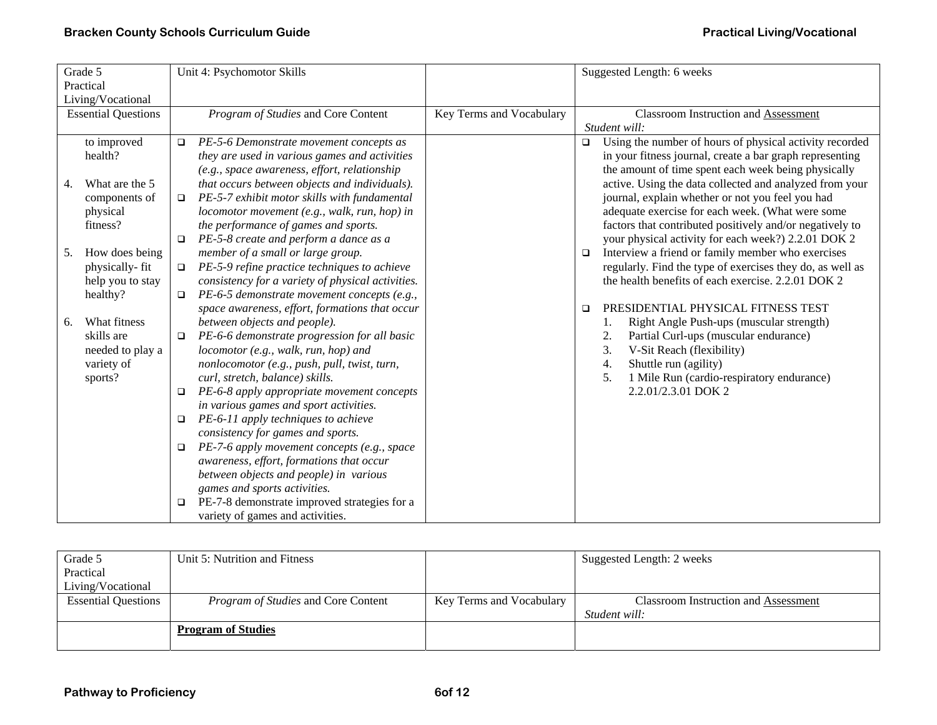| Grade 5                    |        | Unit 4: Psychomotor Skills                        |                          |        | Suggested Length: 6 weeks                                 |
|----------------------------|--------|---------------------------------------------------|--------------------------|--------|-----------------------------------------------------------|
| Practical                  |        |                                                   |                          |        |                                                           |
| Living/Vocational          |        |                                                   |                          |        |                                                           |
| <b>Essential Questions</b> |        | Program of Studies and Core Content               | Key Terms and Vocabulary |        | <b>Classroom Instruction and Assessment</b>               |
|                            |        |                                                   |                          |        | Student will:                                             |
| to improved                | $\Box$ | PE-5-6 Demonstrate movement concepts as           |                          | $\Box$ | Using the number of hours of physical activity recorded   |
| health?                    |        | they are used in various games and activities     |                          |        | in your fitness journal, create a bar graph representing  |
|                            |        | (e.g., space awareness, effort, relationship      |                          |        | the amount of time spent each week being physically       |
| What are the 5<br>4.       |        | that occurs between objects and individuals).     |                          |        | active. Using the data collected and analyzed from your   |
| components of              | $\Box$ | PE-5-7 exhibit motor skills with fundamental      |                          |        | journal, explain whether or not you feel you had          |
| physical                   |        | locomotor movement (e.g., walk, run, hop) in      |                          |        | adequate exercise for each week. (What were some          |
| fitness?                   |        | the performance of games and sports.              |                          |        | factors that contributed positively and/or negatively to  |
|                            | $\Box$ | PE-5-8 create and perform a dance as a            |                          |        | your physical activity for each week?) 2.2.01 DOK 2       |
| How does being<br>5.       |        | member of a small or large group.                 |                          | $\Box$ | Interview a friend or family member who exercises         |
| physically-fit             | $\Box$ | PE-5-9 refine practice techniques to achieve      |                          |        | regularly. Find the type of exercises they do, as well as |
| help you to stay           |        | consistency for a variety of physical activities. |                          |        | the health benefits of each exercise. 2.2.01 DOK 2        |
| healthy?                   | $\Box$ | PE-6-5 demonstrate movement concepts (e.g.,       |                          |        |                                                           |
|                            |        | space awareness, effort, formations that occur    |                          | □      | PRESIDENTIAL PHYSICAL FITNESS TEST                        |
| What fitness<br>6.         |        | between objects and people).                      |                          |        | Right Angle Push-ups (muscular strength)                  |
| skills are                 | $\Box$ | PE-6-6 demonstrate progression for all basic      |                          |        | Partial Curl-ups (muscular endurance)<br>2.               |
| needed to play a           |        | locomotor (e.g., walk, run, hop) and              |                          |        | 3.<br>V-Sit Reach (flexibility)                           |
| variety of                 |        | nonlocomotor (e.g., push, pull, twist, turn,      |                          |        | Shuttle run (agility)<br>4.                               |
| sports?                    |        | curl, stretch, balance) skills.                   |                          |        | 1 Mile Run (cardio-respiratory endurance)<br>5.           |
|                            | $\Box$ | PE-6-8 apply appropriate movement concepts        |                          |        | 2.2.01/2.3.01 DOK 2                                       |
|                            |        | in various games and sport activities.            |                          |        |                                                           |
|                            | $\Box$ | PE-6-11 apply techniques to achieve               |                          |        |                                                           |
|                            |        | consistency for games and sports.                 |                          |        |                                                           |
|                            | $\Box$ | PE-7-6 apply movement concepts (e.g., space       |                          |        |                                                           |
|                            |        | awareness, effort, formations that occur          |                          |        |                                                           |
|                            |        | between objects and people) in various            |                          |        |                                                           |
|                            |        | games and sports activities.                      |                          |        |                                                           |
|                            | $\Box$ | PE-7-8 demonstrate improved strategies for a      |                          |        |                                                           |
|                            |        | variety of games and activities.                  |                          |        |                                                           |

| Grade 5                    | Unit 5: Nutrition and Fitness              |                          | Suggested Length: 2 weeks            |
|----------------------------|--------------------------------------------|--------------------------|--------------------------------------|
| Practical                  |                                            |                          |                                      |
| Living/Vocational          |                                            |                          |                                      |
| <b>Essential Questions</b> | <i>Program of Studies</i> and Core Content | Key Terms and Vocabulary | Classroom Instruction and Assessment |
|                            |                                            |                          | Student will:                        |
|                            | <b>Program of Studies</b>                  |                          |                                      |
|                            |                                            |                          |                                      |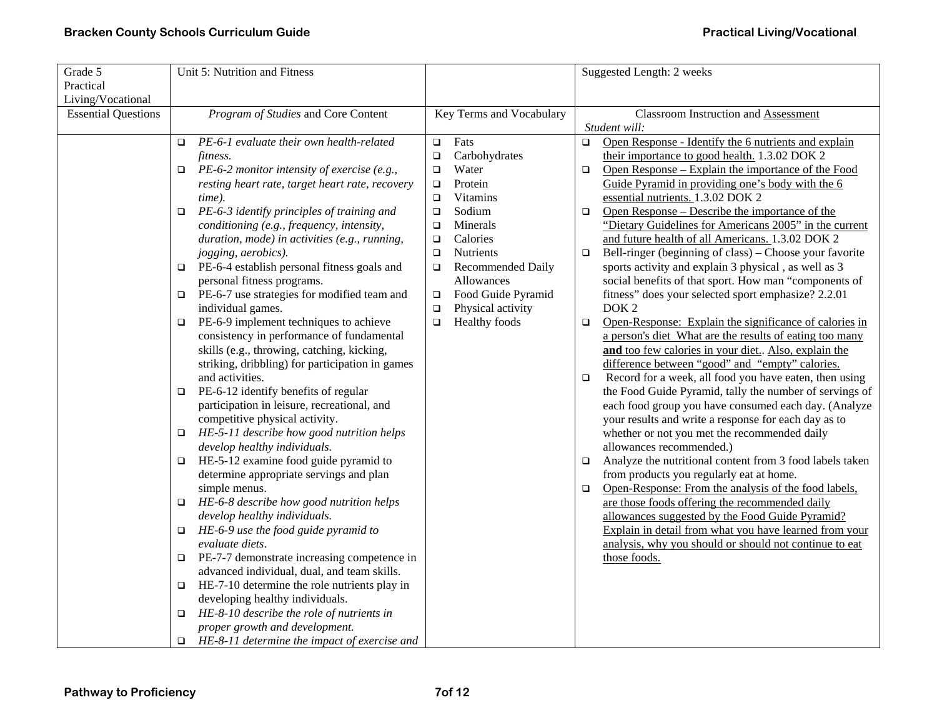| Grade 5                    | Unit 5: Nutrition and Fitness                          |                                    | Suggested Length: 2 weeks                                          |
|----------------------------|--------------------------------------------------------|------------------------------------|--------------------------------------------------------------------|
| Practical                  |                                                        |                                    |                                                                    |
| Living/Vocational          |                                                        |                                    |                                                                    |
| <b>Essential Questions</b> | Program of Studies and Core Content                    | Key Terms and Vocabulary           | <b>Classroom Instruction and Assessment</b>                        |
|                            |                                                        |                                    | Student will:                                                      |
|                            | PE-6-1 evaluate their own health-related<br>$\Box$     | Fats<br>$\Box$                     | Open Response - Identify the 6 nutrients and explain<br>$\Box$     |
|                            | fitness.                                               | Carbohydrates<br>$\Box$            | their importance to good health. 1.3.02 DOK 2                      |
|                            | PE-6-2 monitor intensity of exercise (e.g.,<br>$\Box$  | Water<br>$\Box$                    | Open Response – Explain the importance of the Food<br>$\Box$       |
|                            | resting heart rate, target heart rate, recovery        | Protein<br>$\Box$                  | Guide Pyramid in providing one's body with the 6                   |
|                            | time).                                                 | Vitamins<br>$\Box$                 | essential nutrients. 1.3.02 DOK 2                                  |
|                            | PE-6-3 identify principles of training and<br>$\Box$   | Sodium<br>$\Box$                   | Open Response – Describe the importance of the<br>$\Box$           |
|                            | conditioning (e.g., frequency, intensity,              | Minerals<br>$\Box$                 | "Dietary Guidelines for Americans 2005" in the current             |
|                            | duration, mode) in activities (e.g., running,          | Calories<br>$\Box$                 | and future health of all Americans. 1.3.02 DOK 2                   |
|                            | jogging, aerobics).                                    | <b>Nutrients</b><br>$\Box$         | Bell-ringer (beginning of class) - Choose your favorite<br>$\Box$  |
|                            | PE-6-4 establish personal fitness goals and<br>$\Box$  | <b>Recommended Daily</b><br>$\Box$ | sports activity and explain 3 physical, as well as 3               |
|                            | personal fitness programs.                             | <b>Allowances</b>                  | social benefits of that sport. How man "components of              |
|                            | PE-6-7 use strategies for modified team and<br>$\Box$  | Food Guide Pyramid<br>$\Box$       | fitness" does your selected sport emphasize? 2.2.01                |
|                            | individual games.                                      | Physical activity<br>$\Box$        | DOK <sub>2</sub>                                                   |
|                            | PE-6-9 implement techniques to achieve<br>$\Box$       | Healthy foods<br>$\Box$            | Open-Response: Explain the significance of calories in<br>$\Box$   |
|                            | consistency in performance of fundamental              |                                    | a person's diet What are the results of eating too many            |
|                            | skills (e.g., throwing, catching, kicking,             |                                    | and too few calories in your diet Also, explain the                |
|                            | striking, dribbling) for participation in games        |                                    | difference between "good" and "empty" calories.                    |
|                            | and activities.                                        |                                    | Record for a week, all food you have eaten, then using<br>$\Box$   |
|                            | PE-6-12 identify benefits of regular<br>$\Box$         |                                    | the Food Guide Pyramid, tally the number of servings of            |
|                            | participation in leisure, recreational, and            |                                    | each food group you have consumed each day. (Analyze               |
|                            | competitive physical activity.                         |                                    | your results and write a response for each day as to               |
|                            | HE-5-11 describe how good nutrition helps<br>$\Box$    |                                    | whether or not you met the recommended daily                       |
|                            | develop healthy individuals.                           |                                    | allowances recommended.)                                           |
|                            | HE-5-12 examine food guide pyramid to<br>$\Box$        |                                    | Analyze the nutritional content from 3 food labels taken<br>$\Box$ |
|                            | determine appropriate servings and plan                |                                    | from products you regularly eat at home.                           |
|                            | simple menus.                                          |                                    | Open-Response: From the analysis of the food labels,<br>$\Box$     |
|                            | HE-6-8 describe how good nutrition helps<br>$\Box$     |                                    | are those foods offering the recommended daily                     |
|                            | develop healthy individuals.                           |                                    | allowances suggested by the Food Guide Pyramid?                    |
|                            | HE-6-9 use the food guide pyramid to<br>$\Box$         |                                    | Explain in detail from what you have learned from your             |
|                            | evaluate diets.                                        |                                    | analysis, why you should or should not continue to eat             |
|                            | PE-7-7 demonstrate increasing competence in<br>$\Box$  |                                    | those foods.                                                       |
|                            | advanced individual, dual, and team skills.            |                                    |                                                                    |
|                            | HE-7-10 determine the role nutrients play in<br>$\Box$ |                                    |                                                                    |
|                            | developing healthy individuals.                        |                                    |                                                                    |
|                            | HE-8-10 describe the role of nutrients in<br>$\Box$    |                                    |                                                                    |
|                            | proper growth and development.                         |                                    |                                                                    |
|                            | $\Box$ HE-8-11 determine the impact of exercise and    |                                    |                                                                    |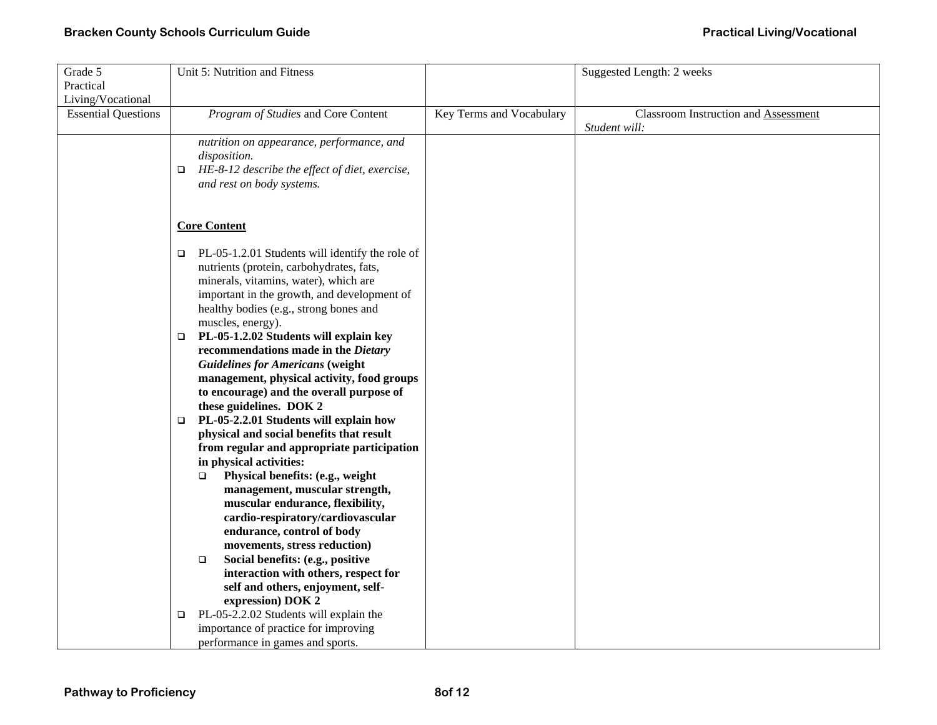| Grade 5                    | Unit 5: Nutrition and Fitness                             |                          | Suggested Length: 2 weeks                   |
|----------------------------|-----------------------------------------------------------|--------------------------|---------------------------------------------|
| Practical                  |                                                           |                          |                                             |
| Living/Vocational          |                                                           |                          |                                             |
| <b>Essential Questions</b> | Program of Studies and Core Content                       | Key Terms and Vocabulary | <b>Classroom Instruction and Assessment</b> |
|                            |                                                           |                          | Student will:                               |
|                            | nutrition on appearance, performance, and                 |                          |                                             |
|                            | disposition.                                              |                          |                                             |
|                            | HE-8-12 describe the effect of diet, exercise,<br>$\Box$  |                          |                                             |
|                            | and rest on body systems.                                 |                          |                                             |
|                            |                                                           |                          |                                             |
|                            |                                                           |                          |                                             |
|                            | <b>Core Content</b>                                       |                          |                                             |
|                            |                                                           |                          |                                             |
|                            | PL-05-1.2.01 Students will identify the role of<br>$\Box$ |                          |                                             |
|                            | nutrients (protein, carbohydrates, fats,                  |                          |                                             |
|                            | minerals, vitamins, water), which are                     |                          |                                             |
|                            | important in the growth, and development of               |                          |                                             |
|                            | healthy bodies (e.g., strong bones and                    |                          |                                             |
|                            | muscles, energy).                                         |                          |                                             |
|                            | PL-05-1.2.02 Students will explain key<br>$\Box$          |                          |                                             |
|                            | recommendations made in the Dietary                       |                          |                                             |
|                            |                                                           |                          |                                             |
|                            | <b>Guidelines for Americans (weight</b>                   |                          |                                             |
|                            | management, physical activity, food groups                |                          |                                             |
|                            | to encourage) and the overall purpose of                  |                          |                                             |
|                            | these guidelines. DOK 2                                   |                          |                                             |
|                            | PL-05-2.2.01 Students will explain how<br>o.              |                          |                                             |
|                            | physical and social benefits that result                  |                          |                                             |
|                            | from regular and appropriate participation                |                          |                                             |
|                            | in physical activities:                                   |                          |                                             |
|                            | Physical benefits: (e.g., weight<br>$\Box$                |                          |                                             |
|                            | management, muscular strength,                            |                          |                                             |
|                            | muscular endurance, flexibility,                          |                          |                                             |
|                            | cardio-respiratory/cardiovascular                         |                          |                                             |
|                            | endurance, control of body                                |                          |                                             |
|                            | movements, stress reduction)                              |                          |                                             |
|                            | Social benefits: (e.g., positive<br>$\Box$                |                          |                                             |
|                            | interaction with others, respect for                      |                          |                                             |
|                            | self and others, enjoyment, self-                         |                          |                                             |
|                            | expression) DOK 2                                         |                          |                                             |
|                            | PL-05-2.2.02 Students will explain the<br>o.              |                          |                                             |
|                            | importance of practice for improving                      |                          |                                             |
|                            | performance in games and sports.                          |                          |                                             |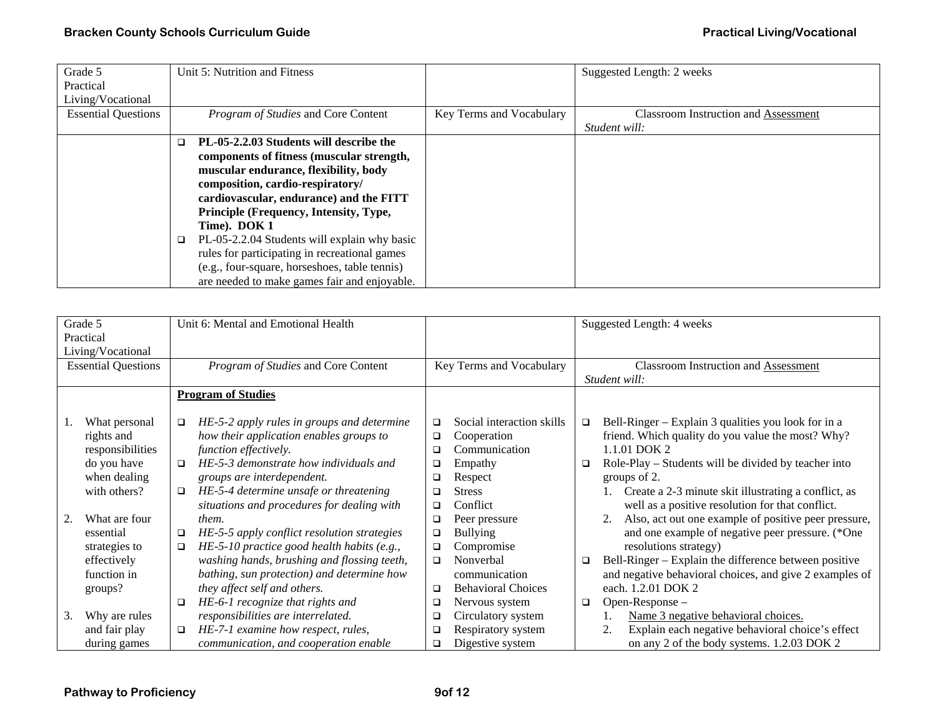| Grade 5                    | Unit 5: Nutrition and Fitness                 |                          | Suggested Length: 2 weeks                   |
|----------------------------|-----------------------------------------------|--------------------------|---------------------------------------------|
| Practical                  |                                               |                          |                                             |
| Living/Vocational          |                                               |                          |                                             |
| <b>Essential Questions</b> | Program of Studies and Core Content           | Key Terms and Vocabulary | <b>Classroom Instruction and Assessment</b> |
|                            |                                               |                          | Student will:                               |
|                            | PL-05-2.2.03 Students will describe the<br>□  |                          |                                             |
|                            | components of fitness (muscular strength,     |                          |                                             |
|                            | muscular endurance, flexibility, body         |                          |                                             |
|                            | composition, cardio-respiratory/              |                          |                                             |
|                            | cardiovascular, endurance) and the FITT       |                          |                                             |
|                            | Principle (Frequency, Intensity, Type,        |                          |                                             |
|                            | Time). DOK 1                                  |                          |                                             |
|                            | PL-05-2.2.04 Students will explain why basic  |                          |                                             |
|                            | rules for participating in recreational games |                          |                                             |
|                            | (e.g., four-square, horseshoes, table tennis) |                          |                                             |
|                            | are needed to make games fair and enjoyable.  |                          |                                             |

| Grade 5                    | Practical                                       |                  | Unit 6: Mental and Emotional Health                                                                            |                          |                                                           |        | Suggested Length: 4 weeks                                                                                                |  |
|----------------------------|-------------------------------------------------|------------------|----------------------------------------------------------------------------------------------------------------|--------------------------|-----------------------------------------------------------|--------|--------------------------------------------------------------------------------------------------------------------------|--|
|                            | Living/Vocational                               |                  |                                                                                                                |                          |                                                           |        |                                                                                                                          |  |
| <b>Essential Questions</b> |                                                 |                  | Program of Studies and Core Content                                                                            | Key Terms and Vocabulary |                                                           |        | Classroom Instruction and Assessment<br>Student will:                                                                    |  |
|                            |                                                 |                  | <b>Program of Studies</b>                                                                                      |                          |                                                           |        |                                                                                                                          |  |
|                            | What personal<br>rights and<br>responsibilities | $\Box$           | HE-5-2 apply rules in groups and determine<br>how their application enables groups to<br>function effectively. | $\Box$<br>$\Box$<br>□    | Social interaction skills<br>Cooperation<br>Communication | □      | Bell-Ringer – Explain 3 qualities you look for in a<br>friend. Which quality do you value the most? Why?<br>1.1.01 DOK 2 |  |
|                            | do you have<br>when dealing                     | ◻                | HE-5-3 demonstrate how individuals and<br>groups are interdependent.                                           | □<br>□                   | Empathy<br>Respect                                        | $\Box$ | Role-Play – Students will be divided by teacher into<br>groups of 2.                                                     |  |
|                            | with others?                                    | $\Box$           | HE-5-4 determine unsafe or threatening<br>situations and procedures for dealing with                           | □<br>□                   | <b>Stress</b><br>Conflict                                 |        | Create a 2-3 minute skit illustrating a conflict, as<br>well as a positive resolution for that conflict.                 |  |
|                            | What are four                                   |                  | them.                                                                                                          | $\Box$                   | Peer pressure                                             |        | Also, act out one example of positive peer pressure,                                                                     |  |
|                            | essential<br>strategies to                      | $\Box$<br>$\Box$ | HE-5-5 apply conflict resolution strategies<br>$HE$ -5-10 practice good health habits (e.g.,                   | □<br>$\Box$              | <b>Bullying</b><br>Compromise                             |        | and one example of negative peer pressure. (*One<br>resolutions strategy)                                                |  |
|                            | effectively                                     |                  | washing hands, brushing and flossing teeth,                                                                    | □                        | Nonverbal                                                 | □      | Bell-Ringer – Explain the difference between positive                                                                    |  |
|                            | function in<br>groups?                          |                  | bathing, sun protection) and determine how<br>they affect self and others.                                     | □                        | communication<br><b>Behavioral Choices</b>                |        | and negative behavioral choices, and give 2 examples of<br>each. 1.2.01 DOK 2                                            |  |
|                            |                                                 | □                | HE-6-1 recognize that rights and                                                                               | ❏                        | Nervous system                                            | □      | Open-Response-                                                                                                           |  |
| 3.                         | Why are rules                                   |                  | responsibilities are interrelated.                                                                             | □                        | Circulatory system                                        |        | Name 3 negative behavioral choices.                                                                                      |  |
|                            | and fair play                                   | □                | HE-7-1 examine how respect, rules,                                                                             | □                        | Respiratory system                                        |        | Explain each negative behavioral choice's effect<br>2.                                                                   |  |
|                            | during games                                    |                  | communication, and cooperation enable                                                                          | □                        | Digestive system                                          |        | on any 2 of the body systems. 1.2.03 DOK 2                                                                               |  |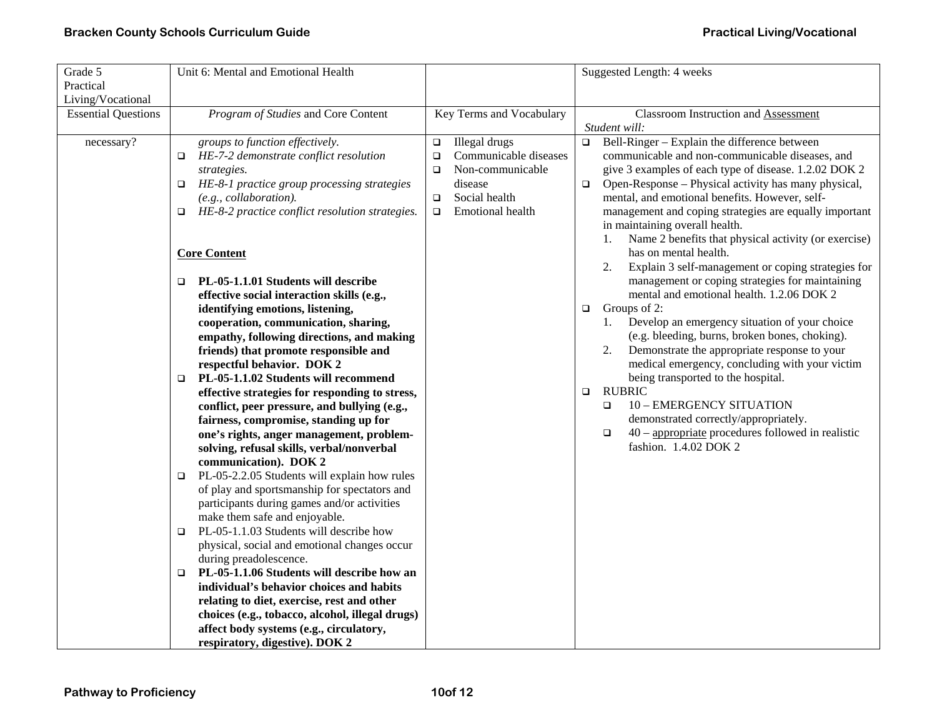| Grade 5                    | Unit 6: Mental and Emotional Health                                |                                 | Suggested Length: 4 weeks                                                                    |
|----------------------------|--------------------------------------------------------------------|---------------------------------|----------------------------------------------------------------------------------------------|
| Practical                  |                                                                    |                                 |                                                                                              |
| Living/Vocational          |                                                                    |                                 |                                                                                              |
| <b>Essential Questions</b> | Program of Studies and Core Content                                | Key Terms and Vocabulary        | <b>Classroom Instruction and Assessment</b>                                                  |
|                            |                                                                    |                                 | Student will:                                                                                |
| necessary?                 | groups to function effectively.                                    | Illegal drugs<br>$\Box$         | Bell-Ringer - Explain the difference between<br>$\Box$                                       |
|                            | $\Box$ HE-7-2 demonstrate conflict resolution                      | Communicable diseases<br>$\Box$ | communicable and non-communicable diseases, and                                              |
|                            | strategies.                                                        | Non-communicable<br>$\Box$      | give 3 examples of each type of disease. 1.2.02 DOK 2                                        |
|                            | HE-8-1 practice group processing strategies<br>□                   | disease                         | Open-Response – Physical activity has many physical,<br>$\Box$                               |
|                            | (e.g., collaboration).                                             | Social health<br>$\Box$         | mental, and emotional benefits. However, self-                                               |
|                            | HE-8-2 practice conflict resolution strategies.<br>$\Box$          | Emotional health<br>$\Box$      | management and coping strategies are equally important                                       |
|                            |                                                                    |                                 | in maintaining overall health.                                                               |
|                            |                                                                    |                                 | Name 2 benefits that physical activity (or exercise)<br>1.                                   |
|                            | <b>Core Content</b>                                                |                                 | has on mental health.                                                                        |
|                            |                                                                    |                                 | 2.<br>Explain 3 self-management or coping strategies for                                     |
|                            | PL-05-1.1.01 Students will describe<br>$\Box$                      |                                 | management or coping strategies for maintaining                                              |
|                            | effective social interaction skills (e.g.,                         |                                 | mental and emotional health. 1.2.06 DOK 2                                                    |
|                            | identifying emotions, listening,                                   |                                 | Groups of 2:<br>$\Box$                                                                       |
|                            | cooperation, communication, sharing,                               |                                 | Develop an emergency situation of your choice<br>1.                                          |
|                            | empathy, following directions, and making                          |                                 | (e.g. bleeding, burns, broken bones, choking).                                               |
|                            | friends) that promote responsible and                              |                                 | Demonstrate the appropriate response to your<br>2.                                           |
|                            | respectful behavior. DOK 2                                         |                                 | medical emergency, concluding with your victim                                               |
|                            | PL-05-1.1.02 Students will recommend<br>$\Box$                     |                                 | being transported to the hospital.                                                           |
|                            | effective strategies for responding to stress,                     |                                 | <b>RUBRIC</b><br>$\Box$                                                                      |
|                            | conflict, peer pressure, and bullying (e.g.,                       |                                 | <b>10 - EMERGENCY SITUATION</b><br>$\Box$                                                    |
|                            | fairness, compromise, standing up for                              |                                 | demonstrated correctly/appropriately.<br>$40$ – appropriate procedures followed in realistic |
|                            | one's rights, anger management, problem-                           |                                 | $\Box$<br>fashion. 1.4.02 DOK 2                                                              |
|                            | solving, refusal skills, verbal/nonverbal<br>communication). DOK 2 |                                 |                                                                                              |
|                            | PL-05-2.2.05 Students will explain how rules                       |                                 |                                                                                              |
|                            | □<br>of play and sportsmanship for spectators and                  |                                 |                                                                                              |
|                            | participants during games and/or activities                        |                                 |                                                                                              |
|                            | make them safe and enjoyable.                                      |                                 |                                                                                              |
|                            | PL-05-1.1.03 Students will describe how<br>o.                      |                                 |                                                                                              |
|                            | physical, social and emotional changes occur                       |                                 |                                                                                              |
|                            | during preadolescence.                                             |                                 |                                                                                              |
|                            | PL-05-1.1.06 Students will describe how an<br>$\Box$               |                                 |                                                                                              |
|                            | individual's behavior choices and habits                           |                                 |                                                                                              |
|                            | relating to diet, exercise, rest and other                         |                                 |                                                                                              |
|                            | choices (e.g., tobacco, alcohol, illegal drugs)                    |                                 |                                                                                              |
|                            | affect body systems (e.g., circulatory,                            |                                 |                                                                                              |
|                            | respiratory, digestive). DOK 2                                     |                                 |                                                                                              |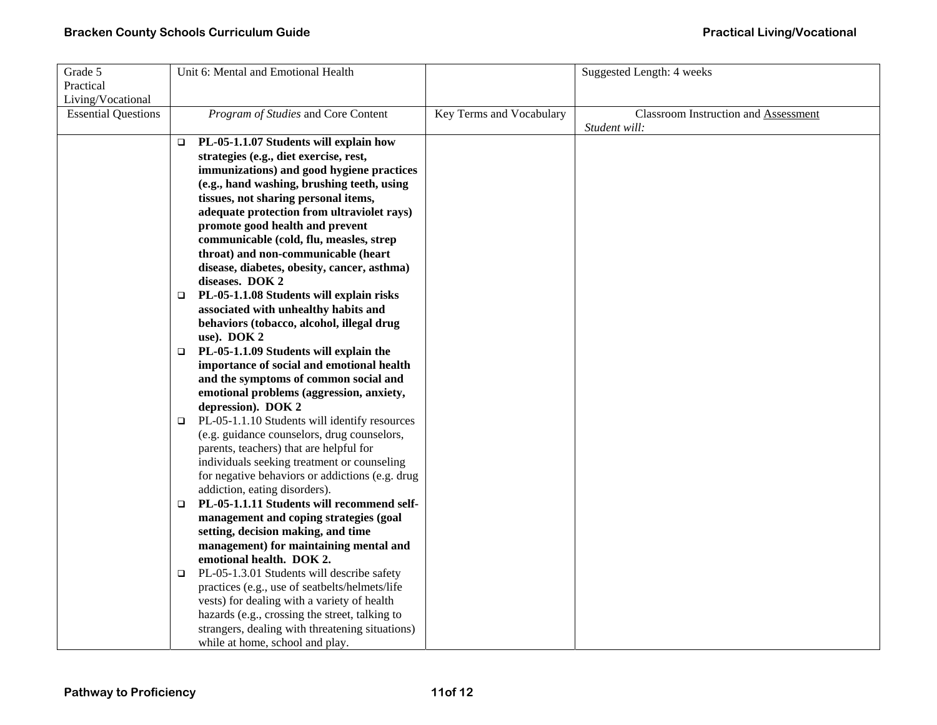| Grade 5                    |        | Unit 6: Mental and Emotional Health             |                          | Suggested Length: 4 weeks            |
|----------------------------|--------|-------------------------------------------------|--------------------------|--------------------------------------|
| Practical                  |        |                                                 |                          |                                      |
| Living/Vocational          |        |                                                 |                          |                                      |
| <b>Essential Questions</b> |        | Program of Studies and Core Content             | Key Terms and Vocabulary | Classroom Instruction and Assessment |
|                            |        |                                                 |                          | Student will:                        |
|                            | $\Box$ | PL-05-1.1.07 Students will explain how          |                          |                                      |
|                            |        | strategies (e.g., diet exercise, rest,          |                          |                                      |
|                            |        | immunizations) and good hygiene practices       |                          |                                      |
|                            |        | (e.g., hand washing, brushing teeth, using      |                          |                                      |
|                            |        | tissues, not sharing personal items,            |                          |                                      |
|                            |        | adequate protection from ultraviolet rays)      |                          |                                      |
|                            |        | promote good health and prevent                 |                          |                                      |
|                            |        | communicable (cold, flu, measles, strep         |                          |                                      |
|                            |        | throat) and non-communicable (heart             |                          |                                      |
|                            |        | disease, diabetes, obesity, cancer, asthma)     |                          |                                      |
|                            |        | diseases. DOK 2                                 |                          |                                      |
|                            | $\Box$ | PL-05-1.1.08 Students will explain risks        |                          |                                      |
|                            |        | associated with unhealthy habits and            |                          |                                      |
|                            |        | behaviors (tobacco, alcohol, illegal drug       |                          |                                      |
|                            |        | use). DOK 2                                     |                          |                                      |
|                            | $\Box$ | PL-05-1.1.09 Students will explain the          |                          |                                      |
|                            |        | importance of social and emotional health       |                          |                                      |
|                            |        | and the symptoms of common social and           |                          |                                      |
|                            |        | emotional problems (aggression, anxiety,        |                          |                                      |
|                            |        | depression). DOK 2                              |                          |                                      |
|                            | $\Box$ | PL-05-1.1.10 Students will identify resources   |                          |                                      |
|                            |        | (e.g. guidance counselors, drug counselors,     |                          |                                      |
|                            |        | parents, teachers) that are helpful for         |                          |                                      |
|                            |        | individuals seeking treatment or counseling     |                          |                                      |
|                            |        | for negative behaviors or addictions (e.g. drug |                          |                                      |
|                            |        | addiction, eating disorders).                   |                          |                                      |
|                            | $\Box$ | PL-05-1.1.11 Students will recommend self-      |                          |                                      |
|                            |        | management and coping strategies (goal          |                          |                                      |
|                            |        | setting, decision making, and time              |                          |                                      |
|                            |        | management) for maintaining mental and          |                          |                                      |
|                            |        | emotional health. DOK 2.                        |                          |                                      |
|                            | $\Box$ | PL-05-1.3.01 Students will describe safety      |                          |                                      |
|                            |        | practices (e.g., use of seatbelts/helmets/life  |                          |                                      |
|                            |        | vests) for dealing with a variety of health     |                          |                                      |
|                            |        | hazards (e.g., crossing the street, talking to  |                          |                                      |
|                            |        | strangers, dealing with threatening situations) |                          |                                      |
|                            |        | while at home, school and play.                 |                          |                                      |